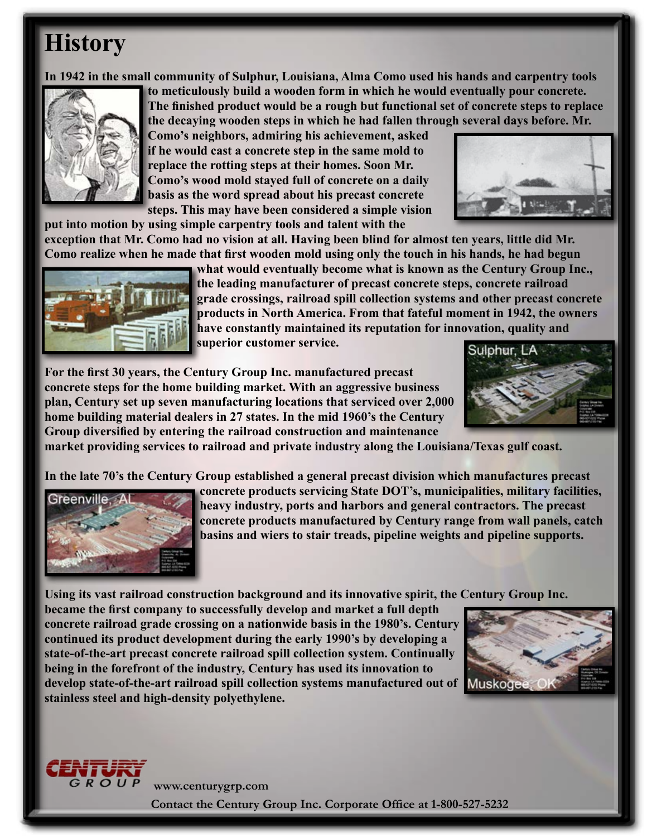## **History**

**In 1942 in the small community of Sulphur, Louisiana, Alma Como used his hands and carpentry tools** 



**to meticulously build a wooden form in which he would eventually pour concrete. The finished product would be a rough but functional set of concrete steps to replace the decaying wooden steps in which he had fallen through several days before. Mr.** 

**Como's neighbors, admiring his achievement, asked if he would cast a concrete step in the same mold to replace the rotting steps at their homes. Soon Mr. Como's wood mold stayed full of concrete on a daily basis as the word spread about his [precast concrete](http://www.centurygrp.com/Products/Concrete-Steps)  [steps](http://www.centurygrp.com/Products/Concrete-Steps). This may have been considered a simple vision** 



**put into motion by using simple carpentry tools and talent with the** 

**exception that Mr. Como had no vision at all. Having been blind for almost ten years, little did Mr. Como realize when he made that first wooden mold using only the touch in his hands, he had begun** 



**what would eventually become what is known as the Century Group Inc., the leading manufacturer of precast concrete steps, [concrete railroad](http://www.centurygrp.com/Products/Railroad-Grade-Crossings)  [grade crossings](http://www.centurygrp.com/Products/Railroad-Grade-Crossings), [railroad spill collection systems](http://www.centurygrp.com/products/RailroadSpillCollectionContainmentPanSystem) and other precast concrete products in North America. From that fateful moment in 1942, the owners have constantly maintained its reputation for innovation, quality and superior customer service.**

**[For the first 30 years, the Century Group Inc. manufactured precast](http://www.centurygrp.com/Products/Concrete-Steps) concrete steps for the home building market. With an aggressive business plan, Century set up seven [manufacturing locations](http://www.centurygrp.com/Images/Interior/contact/cgi-maparch-ind.pdf) that serviced over 2,000 home building material dealers in 27 states. In the mid 1960's the Century Group diversified by entering the railroad construction and maintenance** 



**market providing services to railroad and private industry along the Louisiana/Texas gulf coast.** 

**[In the late 70's the Century Group established a general precast division which manufactures precast](http://www.centurygrp.com/products/Architectural--Industrial)** 



**[concrete products](http://www.centurygrp.com/products/Architectural--Industrial) servicing State DOT's, municipalities, military facilities, heavy industry, ports and harbors and general contractors. The precast concrete products manufactured by Century range from wall panels, catch basins and wiers to stair treads, pipeline weights and pipeline supports.** 

**[Using its vast railroad construction background and its innovative spirit, the Century Group Inc.](http://www.centurygrp.com/Products/Railroad-Grade-Crossings)** 

**became the first company to successfully develop and market a full depth [concrete railroad grade crossing on a nationwide basis in the 1980's. Century](http://www.centurygrp.com/products/RailroadSpillCollectionContainmentPanSystem)  continued its product development during the early 1990's by developing a state-of-the-art precast concrete railroad spill collection system. Continually being in the forefront of the industry, Century has used its innovation to develop state-of-the-art railroad spill collection systems manufactured out of stainless steel and high-density polyethylene.** 





**www.centurygrp.com**

**[Contact the Century Group Inc. Corporate Office at 1-800-527-5232](http://www.centurygrp.com/contacts)**